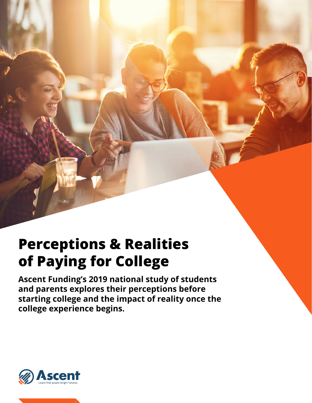# **Perceptions & Realities of Paying for College**

**Ascent Funding's 2019 national study of students and parents explores their perceptions before starting college and the impact of reality once the college experience begins.**

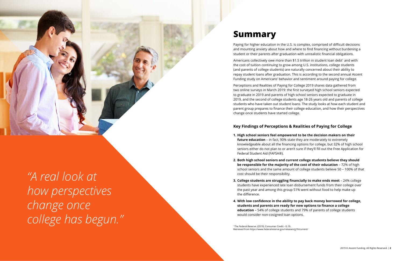## **Summary**

Paying for higher education in the U.S. is complex, comprised of difficult decisions and mounting anxiety about how and where to find financing without burdening a student or their parents after graduation with unrealistic financial obligations.

Americans collectively owe more than \$1.5 trillion in student loan debt<sup>1</sup> and with the cost of tuition continuing to grow among U.S. institutions, college students (and parents of college students) are naturally concerned about their ability to repay student loans after graduation. This is according to the second annual Ascent Funding study on Americans' behavior and sentiment around paying for college.

Perceptions and Realities of Paying for College 2019 shares data gathered from two online surveys in March 2019: the first surveyed high school seniors expected to graduate in 2019 and parents of high school seniors expected to graduate in 2019, and the second of college students age 18-26 years old and parents of college students who have taken out student loans. The study looks at how each student and parent group prepares to finance their college education, and how their perspectives change once students have started college.

### **Key Findings of Perceptions & Realities of Paying for College**

knowledgeable about all the financing options for college, but 32% of high school seniors either do not plan to or aren't sure if they'll fill out the Free Application for

**2. Both high school seniors and current college students believe they should be responsible for the majority of the cost of their education** – 72% of high school seniors and the same amount of college students believe 50 – 100% of that

- **1. High school seniors feel empowered to be the decision makers on their future education** – in fact, 90% state they are moderately to extremely Federal Student Aid (FAFSA®).
- cost should be their responsibility.
- the past year and among this group 51% went without food to help make up the difference.
- **students and parents are ready for new options to finance a college education** – 54% of college students and 79% of parents of college students would consider non-cosigned loan options.

**3. College students are struggling financially to make ends meet** – 24% college students have experienced late loan disbursement funds from their college over

**4. With low confidence in the ability to pay back money borrowed for college,**

1 The Federal Reserve. (2019). Consumer Credit - G.19. Retrieved from https://www.federalreserve.gov/releases/g19/current/



*"A real look at how perspectives change once college has begun."*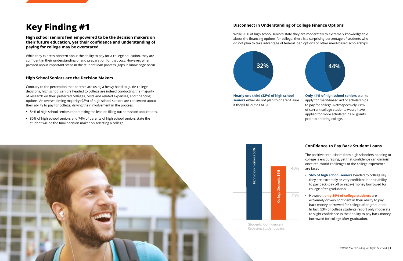**High school seniors feel empowered to be the decision makers on their future education, yet their confidence and understanding of paying for college may be overstated.**

While they express concern about the ability to pay for a college education, they are confident in their understanding of and preparation for that cost. However, when pressed about important steps in the student loan process, gaps in knowledge occur.

#### **High School Seniors are the Decision Makers**

Contrary to the perception that parents are using a heavy hand to guide college decisions, high school seniors headed to college are indeed conducting the majority of research on their preferred colleges, costs and related expenses, and financing options. An overwhelming majority (92%) of high school seniors are concerned about their ability to pay for college, driving their involvement in the process.

- 84% of high school seniors report taking the lead on filling out admission applications.
- 80% of high school seniors and 74% of parents of high school seniors state the student will be the final decision maker on selecting a college.

### **Confidence to Pay Back Student Loans**

The positive enthusiasm from high schoolers heading to college is encouraging, yet that confidence can diminish once real-world challenges of the college experience are faced.

- **• 56% of high school seniors** headed to college say they are extremely or very confident in their ability to pay back (pay off or repay) money borrowed for college after graduation.
- However, **only 39% of college students** are extremely or very confident in their ability to pay back money borrowed for college after graduation. In fact, 53% of college students report only moderate to slight confidence in their ability to pay back money borrowed for college after graduation.

### **Disconnect in Understanding of College Finance Options**

While 90% of high school seniors state they are moderately to extremely knowledgeable about the financing options for college, there is a surprising percentage of students who do not plan to take advantage of federal loan options or other merit-based scholarships.



**Nearly one third (32%) of high school seniors** either do not plan to or aren't sure if they'll fill out a FAFSA.



**Only 44% of high school seniors** plan to apply for merit-based aid or scholarships to pay for college. Retrospectively, 68% of current college students would have applied for more scholarships or grants prior to entering college.

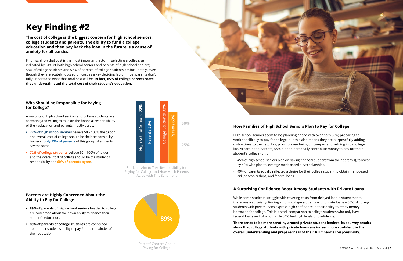**The cost of college is the biggest concern for high school seniors, college students and parents. The ability to fund a college education and then pay back the loan in the future is a cause of anxiety for all parties.**

Findings show that cost is the most important factor in selecting a college, as indicated by 61% of both high school seniors and parents of high school seniors; 58% of college students and 57% of parents of college students. Unfortunately, even though they are acutely focused on cost as a key deciding factor, most parents don't fully understand what that total cost will be. **In fact, 65% of college parents state they underestimated the total cost of their student's education.**



#### **Who Should be Responsible for Paying for College?**

A majority of high school seniors and college students are accepting and willing to take on the financial responsibility of their education and parents mostly agree.

- **• 72% of high school seniors** believe 50 100% the tuition and overall cost of college should be their responsibility, however **only 53% of parents** of this group of students say the same.
- **• 72% of college students** believe 50 100% of tuition and the overall cost of college should be the student's responsibility and **60% of parents agree**.

### **How Families of High School Seniors Plan to Pay for College**

High school seniors seem to be planning ahead with over half (56%) preparing to work specifically to pay for college, but this also means they are purposefully adding distractions to their studies, prior to even being on campus and settling in to college life. According to parents, 55% plan to personally contribute money to pay for their student's college tuition.

• 45% of high school seniors plan on having financial support from their parent(s), followed

- by 44% who plan to leverage merit-based aid/scholarships.
- aid (or scholarships) and federal loans.

• 49% of parents equally reflected a desire for their college student to obtain merit-based

### **A Surprising Confidence Boost Among Students with Private Loans**

While some students struggle with covering costs from delayed loan disbursements, there was a surprising finding among college students with private loans – 65% of college students with private loans express high confidence in their ability to repay money borrowed for college. This is a stark comparison to college students who only have federal loans and of whom only 34% feel high levels of confidence.

**There tends to be more scrutiny around private student lenders, but survey results show that college students with private loans are indeed more confident in their overall understanding and preparedness of their full financial responsibility.**



### **Parents are Highly Concerned About the Ability to Pay for College**

- **• 89% of parents of high school seniors** headed to college are concerned about their own ability to finance their student's education.
- **• 89% of parents of college students** are concerned about their student's ability to pay for the remainder of their education.



Parents' Concern About Paying for College

Students Aim to Take Responsibility for Paying for College and How Much Parents Agree with This Sentiment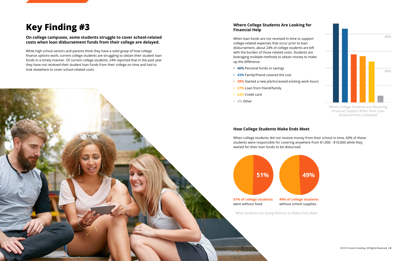#### **On college campuses, some students struggle to cover school-related costs when loan disbursement funds from their college are delayed.**

While high school seniors and parents think they have a solid grasp of how college finance options work, current college students are struggling to obtain their student loan funds in a timely manner. Of current college students, 24% reported that in the past year they have not received their student loan funds from their college on time and had to look elsewhere to cover school-related costs.

### **How College Students Make Ends Meet**

When college students did not receive money from their school in time, 60% of these students were responsible for covering anywhere from \$1,000 - \$10,000 while they waited for their loan funds to be disbursed.



#### **Where College Students Are Looking for Financial Help**

When loan funds are not received in time to support college-related expenses that occur prior to loan disbursement, about 24% of college students are left with the burden of those related costs. Students are leveraging multiple methods to obtain money to make up the difference.

- **• 46%** Personal funds or savings
- **• 43%** Family/friend covered the cost
- **• 28%** Started a new job/increased existing work hours
- **• 27%** Loan from friend/family
- **• 24%** Credit card
- **• 4%** Other

What Students are Going Without to Make Ends Meet

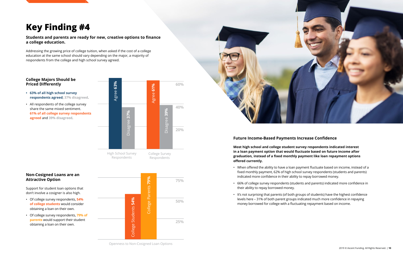#### **Students and parents are ready for new, creative options to finance a college education.**

Addressing the growing price of college tuition, when asked if the cost of a college education at the same school should vary depending on the major, a majority of respondents from the college and high school survey agreed.

#### **College Majors Should be Priced Differently**

- **• 63% of all high school survey respondents agreed**; **37% disagreed**.
- All respondents of the college survey share the same mixed sentiment. **61% of all college survey respondents agreed** and **39% disagreed**.

#### **Non-Cosigned Loans are an Attractive Option**

Support for student loan options that don't involve a cosigner is also high.

- Of college survey respondents, **54% of college students** would consider obtaining a loan on their own.
- Of college survey respondents, **79% of parents** would support their student obtaining a loan on their own.

### **Future Income-Based Payments Increase Confidence**

**Most high school and college student survey respondents indicated interest in a loan payment option that would fluctuate based on future income after graduation, instead of a fixed monthly payment like loan repayment options offered currently.**



• When offered the ability to have a loan payment fluctuate based on income, instead of a fixed monthly payment, 62% of high school survey respondents (students and parents)

• 66% of college survey respondents (students and parents) indicated more confidence in

- indicated more confidence in their ability to repay borrowed money.
- their ability to repay borrowed money.
- money borrowed for college with a fluctuating repayment based on income.

• It's not surprising that parents (of both groups of students) have the highest confidence levels here – 31% of both parent groups indicated much more confidence in repaying



Openness to Non-Cosigned Loan Options